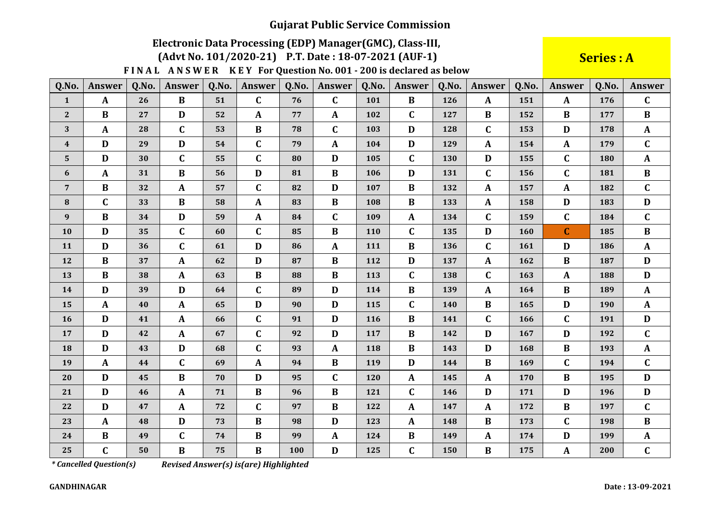# Electronic Data Processing (EDP) Manager (GMC), Class-III,

(Advt No. 101/2020-21) P.T. Date: 18-07-2021 (AUF-1)

FINAL ANSWER KEY For Question No. 001 - 200 is declared as below

**Series: A** 

| Q.No.            | <b>Answer</b> | Q.No. | Answer       | Q.No. | <b>Answer</b> | Q.No. | Answer       | Q.No.      | <b>Answer</b> | Q.No. | <b>Answer</b> | Q.No.      | <b>Answer</b> | Q.No. | Answer       |
|------------------|---------------|-------|--------------|-------|---------------|-------|--------------|------------|---------------|-------|---------------|------------|---------------|-------|--------------|
| $\mathbf{1}$     | $\mathbf{A}$  | 26    | $\bf{B}$     | 51    | $\mathbf C$   | 76    | $\mathbf C$  | 101        | $\bf{B}$      | 126   | $\mathbf{A}$  | 151        | $\mathbf{A}$  | 176   | $\mathbf C$  |
| $\sqrt{2}$       | $\bf{B}$      | 27    | $\mathbf{D}$ | 52    | A             | 77    | $\mathbf{A}$ | 102        | $\mathbf C$   | 127   | $\bf{B}$      | 152        | B             | 177   | $\bf{B}$     |
| 3                | $\mathbf{A}$  | 28    | $\mathbf{C}$ | 53    | B             | 78    | C            | 103        | D             | 128   | $\mathbf{C}$  | 153        | D             | 178   | $\mathbf{A}$ |
| $\boldsymbol{4}$ | D             | 29    | $\mathbf{D}$ | 54    | $\mathbf C$   | 79    | $\mathbf{A}$ | 104        | D             | 129   | $\mathbf{A}$  | 154        | $\mathbf{A}$  | 179   | $\mathbf{C}$ |
| 5                | D             | 30    | $\mathbf C$  | 55    | $\mathbf C$   | 80    | D            | 105        | $\mathbf C$   | 130   | D             | 155        | $\mathbf C$   | 180   | $\mathbf{A}$ |
| $\boldsymbol{6}$ | $\mathbf{A}$  | 31    | $\bf{B}$     | 56    | D             | 81    | $\bf{B}$     | 106        | D             | 131   | $\mathbf C$   | 156        | $\mathbf C$   | 181   | $\bf{B}$     |
| $\overline{7}$   | $\bf{B}$      | 32    | $\mathbf{A}$ | 57    | $\mathbf C$   | 82    | D            | 107        | $\bf{B}$      | 132   | $\mathbf{A}$  | 157        | $\mathbf{A}$  | 182   | $\mathbf{C}$ |
| 8                | $\mathbf C$   | 33    | $\bf{B}$     | 58    | A             | 83    | $\bf{B}$     | 108        | $\bf{B}$      | 133   | $\mathbf{A}$  | 158        | D             | 183   | D            |
| 9                | $\bf{B}$      | 34    | $\mathbf D$  | 59    | $\mathbf{A}$  | 84    | C            | 109        | $\mathbf{A}$  | 134   | $\mathbf C$   | 159        | $\mathbf C$   | 184   | $\mathbf{C}$ |
| 10               | D             | 35    | $\mathbf C$  | 60    | $\mathbf C$   | 85    | $\bf{B}$     | <b>110</b> | $\mathbf C$   | 135   | D             | <b>160</b> | $\mathbf C$   | 185   | $\bf{B}$     |
| 11               | D             | 36    | $\mathbf C$  | 61    | D             | 86    | $\mathbf A$  | 111        | $\bf{B}$      | 136   | $\mathbf C$   | 161        | D             | 186   | $\mathbf{A}$ |
| 12               | $\bf{B}$      | 37    | $\mathbf{A}$ | 62    | D             | 87    | $\bf{B}$     | 112        | D             | 137   | $\mathbf{A}$  | 162        | B             | 187   | D            |
| 13               | $\bf{B}$      | 38    | $\mathbf{A}$ | 63    | $\bf{B}$      | 88    | $\bf{B}$     | 113        | $\mathbf C$   | 138   | $\mathbf C$   | 163        | $\mathbf{A}$  | 188   | $\mathbf{D}$ |
| 14               | D             | 39    | D            | 64    | $\mathbf C$   | 89    | D            | 114        | $\bf{B}$      | 139   | $\mathbf{A}$  | 164        | B             | 189   | $\mathbf{A}$ |
| 15               | $\mathbf{A}$  | 40    | $\mathbf{A}$ | 65    | D             | 90    | D            | 115        | $\mathbf C$   | 140   | $\bf{B}$      | 165        | $\mathbf D$   | 190   | $\mathbf{A}$ |
| 16               | D             | 41    | $\mathbf{A}$ | 66    | $\mathbf C$   | 91    | D            | 116        | $\bf{B}$      | 141   | $\mathbf{C}$  | 166        | $\mathbf C$   | 191   | D            |
| 17               | D             | 42    | $\mathbf{A}$ | 67    | $\mathbf C$   | 92    | D            | 117        | $\bf{B}$      | 142   | D             | 167        | D             | 192   | $\mathbf{C}$ |
| 18               | D             | 43    | D            | 68    | $\mathbf C$   | 93    | $\mathbf{A}$ | 118        | B             | 143   | D             | 168        | B             | 193   | $\mathbf{A}$ |
| 19               | $\mathbf{A}$  | 44    | $\mathbf C$  | 69    | A             | 94    | $\bf{B}$     | 119        | D             | 144   | $\bf{B}$      | 169        | $\mathbf C$   | 194   | $\mathbf{C}$ |
| 20               | D             | 45    | $\bf{B}$     | 70    | D             | 95    | $\mathbf C$  | 120        | $\mathbf{A}$  | 145   | $\mathbf{A}$  | 170        | B             | 195   | $\mathbf{D}$ |
| 21               | D             | 46    | $\mathbf{A}$ | 71    | $\bf{B}$      | 96    | $\bf{B}$     | 121        | $\mathbf C$   | 146   | D             | 171        | D             | 196   | $\mathbf{D}$ |
| 22               | D             | 47    | $\mathbf{A}$ | 72    | $\mathbf C$   | 97    | $\bf{B}$     | 122        | A             | 147   | $\mathbf{A}$  | 172        | B             | 197   | $\mathbf{C}$ |
| 23               | $\mathbf{A}$  | 48    | D            | 73    | $\bf{B}$      | 98    | D            | 123        | $\mathbf{A}$  | 148   | $\bf{B}$      | 173        | $\mathbf C$   | 198   | $\bf{B}$     |
| 24               | $\bf{B}$      | 49    | $\mathbf C$  | 74    | $\bf{B}$      | 99    | $\mathbf{A}$ | 124        | $\bf{B}$      | 149   | $\mathbf{A}$  | 174        | D             | 199   | $\mathbf{A}$ |
| 25               | $\mathbf C$   | 50    | $\bf{B}$     | 75    | $\bf{B}$      | 100   | $\mathbf D$  | 125        | $\mathbf C$   | 150   | $\bf{B}$      | 175        | $\mathbf A$   | 200   | $\mathbf C$  |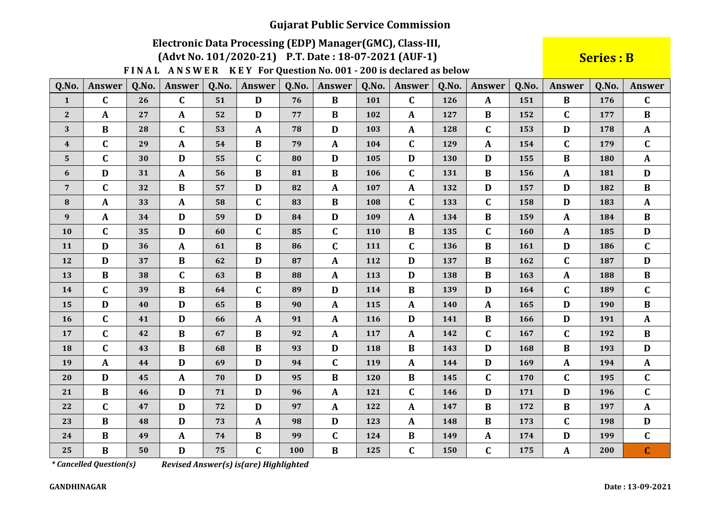# Electronic Data Processing (EDP) Manager (GMC), Class-III,

(Advt No. 101/2020-21) P.T. Date: 18-07-2021 (AUF-1)

FINAL ANSWER KEY For Question No. 001 - 200 is declared as below

**Series: B** 

| Q.No.            | Answer       | Q.No. | Answer       | Q.No. | <b>Answer</b> | Q.No. | <b>Answer</b> | Q.No. | <b>Answer</b> | Q.No. | <b>Answer</b> | Q.No. | <b>Answer</b> | Q.No.      | Answer       |
|------------------|--------------|-------|--------------|-------|---------------|-------|---------------|-------|---------------|-------|---------------|-------|---------------|------------|--------------|
| $\mathbf{1}$     | $\mathbf C$  | 26    | $\mathbf{C}$ | 51    | D             | 76    | $\bf{B}$      | 101   | $\mathbf{C}$  | 126   | $\mathbf{A}$  | 151   | $\bf{B}$      | 176        | $\mathbf{C}$ |
| $\mathbf{2}$     | $\mathbf{A}$ | 27    | $\mathbf{A}$ | 52    | D             | 77    | $\bf{B}$      | 102   | A             | 127   | $\bf{B}$      | 152   | C             | 177        | $\bf{B}$     |
| 3                | $\bf{B}$     | 28    | $\mathbf C$  | 53    | $\mathbf{A}$  | 78    | D             | 103   | $\mathbf{A}$  | 128   | $\mathbf{C}$  | 153   | D             | 178        | $\mathbf{A}$ |
| $\boldsymbol{4}$ | $\mathbf C$  | 29    | $\mathbf{A}$ | 54    | $\bf{B}$      | 79    | $\mathbf{A}$  | 104   | $\mathbf C$   | 129   | A             | 154   | $\mathbf C$   | 179        | $\mathbf C$  |
| $\mathbf 5$      | $\mathbf C$  | 30    | D            | 55    | $\mathbf C$   | 80    | D             | 105   | D             | 130   | D             | 155   | B             | 180        | $\mathbf{A}$ |
| 6                | D            | 31    | $\mathbf{A}$ | 56    | $\bf{B}$      | 81    | $\bf{B}$      | 106   | $\mathbf C$   | 131   | $\bf{B}$      | 156   | $\mathbf{A}$  | 181        | D            |
| $\overline{7}$   | $\mathbf C$  | 32    | $\bf{B}$     | 57    | D             | 82    | $\mathbf{A}$  | 107   | $\mathbf{A}$  | 132   | D             | 157   | D             | 182        | $\bf{B}$     |
| 8                | $\mathbf{A}$ | 33    | $\mathbf{A}$ | 58    | $\mathbf C$   | 83    | $\bf{B}$      | 108   | $\mathbf C$   | 133   | $\mathbf{C}$  | 158   | D             | 183        | $\mathbf{A}$ |
| 9                | $\mathbf{A}$ | 34    | D            | 59    | D             | 84    | D             | 109   | A             | 134   | B             | 159   | $\mathbf{A}$  | 184        | $\bf{B}$     |
| 10               | $\mathbf C$  | 35    | D            | 60    | $\mathbf C$   | 85    | C             | 110   | $\bf{B}$      | 135   | $\mathbf C$   | 160   | $\mathbf{A}$  | 185        | D            |
| 11               | D            | 36    | $\mathbf{A}$ | 61    | $\bf{B}$      | 86    | $\mathbf C$   | 111   | $\mathbf C$   | 136   | $\bf{B}$      | 161   | $\mathbf D$   | 186        | $\mathbf C$  |
| 12               | D            | 37    | B            | 62    | D             | 87    | $\mathbf{A}$  | 112   | D             | 137   | $\bf{B}$      | 162   | C             | 187        | D            |
| 13               | $\bf{B}$     | 38    | $\mathbf C$  | 63    | $\bf{B}$      | 88    | $\mathbf{A}$  | 113   | D             | 138   | $\bf{B}$      | 163   | $\mathbf{A}$  | 188        | $\bf{B}$     |
| 14               | $\mathbf C$  | 39    | $\bf{B}$     | 64    | $\mathbf C$   | 89    | D             | 114   | $\bf{B}$      | 139   | D             | 164   | $\mathbf C$   | 189        | $\mathbf{C}$ |
| 15               | D            | 40    | $\mathbf{D}$ | 65    | B             | 90    | $\mathbf{A}$  | 115   | $\mathbf{A}$  | 140   | $\mathbf{A}$  | 165   | $\mathbf{D}$  | <b>190</b> | $\bf{B}$     |
| <b>16</b>        | $\mathbf C$  | 41    | D            | 66    | $\mathbf{A}$  | 91    | $\mathbf{A}$  | 116   | D             | 141   | B             | 166   | D             | 191        | $\mathbf{A}$ |
| 17               | $\mathbf C$  | 42    | $\bf{B}$     | 67    | $\bf{B}$      | 92    | $\mathbf{A}$  | 117   | $\mathbf{A}$  | 142   | $\mathbf{C}$  | 167   | C             | 192        | $\bf{B}$     |
| 18               | $\mathbf C$  | 43    | $\bf{B}$     | 68    | $\bf{B}$      | 93    | $\mathbf D$   | 118   | $\bf{B}$      | 143   | D             | 168   | B             | 193        | D            |
| 19               | $\mathbf{A}$ | 44    | D            | 69    | D             | 94    | $\mathbf C$   | 119   | $\mathbf{A}$  | 144   | D             | 169   | $\mathbf{A}$  | 194        | $\mathbf{A}$ |
| 20               | D            | 45    | $\mathbf{A}$ | 70    | D             | 95    | $\bf{B}$      | 120   | $\bf{B}$      | 145   | $\mathbf{C}$  | 170   | $\mathbf C$   | 195        | $\mathbf C$  |
| 21               | $\bf{B}$     | 46    | D            | 71    | D             | 96    | $\mathbf{A}$  | 121   | $\mathbf C$   | 146   | D             | 171   | $\mathbf D$   | 196        | $\mathbf C$  |
| 22               | $\mathbf C$  | 47    | $\mathbf{D}$ | 72    | D             | 97    | $\mathbf{A}$  | 122   | A             | 147   | $\bf{B}$      | 172   | $\bf{B}$      | 197        | $\mathbf{A}$ |
| 23               | $\bf{B}$     | 48    | D            | 73    | $\mathbf{A}$  | 98    | D             | 123   | $\mathbf{A}$  | 148   | $\bf{B}$      | 173   | $\mathbf C$   | 198        | D            |
| 24               | $\bf{B}$     | 49    | $\mathbf{A}$ | 74    | B             | 99    | $\mathbf C$   | 124   | $\bf{B}$      | 149   | $\mathbf{A}$  | 174   | $\mathbf D$   | 199        | $\mathbf{C}$ |
| 25               | $\bf{B}$     | 50    | $\mathbf D$  | 75    | $\mathbf C$   | 100   | $\bf{B}$      | 125   | $\mathbf C$   | 150   | $\mathbf{C}$  | 175   | $\mathbf{A}$  | 200        | $\mathbf C$  |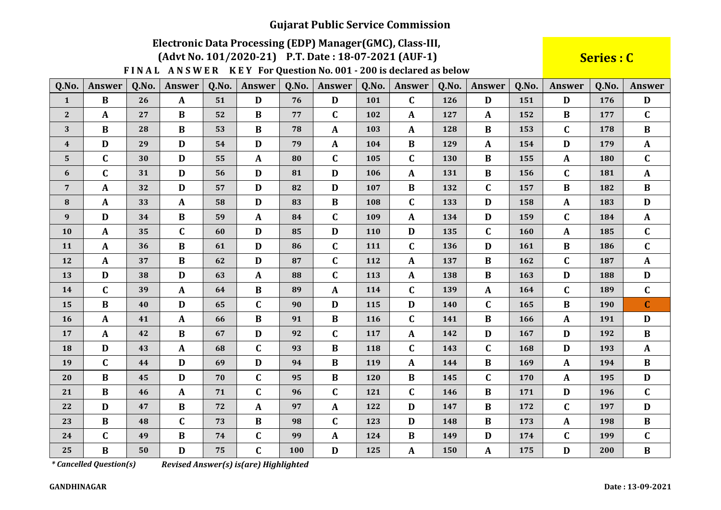# Electronic Data Processing (EDP) Manager (GMC), Class-III,

(Advt No. 101/2020-21) P.T. Date: 18-07-2021 (AUF-1)

FINAL ANSWER KEY For Question No. 001 - 200 is declared as below

Series : C

| Q.No.            | <b>Answer</b> | Q.No. | <b>Answer</b> | Q.No. | Answer       | Q.No. | <b>Answer</b> | Q.No. | Answer       | Q.No. | Answer       | Q.No. | <b>Answer</b> | Q.No. | Answer       |
|------------------|---------------|-------|---------------|-------|--------------|-------|---------------|-------|--------------|-------|--------------|-------|---------------|-------|--------------|
| $\mathbf{1}$     | $\bf{B}$      | 26    | $\mathbf{A}$  | 51    | D            | 76    | D             | 101   | $\mathbf C$  | 126   | D            | 151   | D             | 176   | D            |
| $\mathbf{2}$     | $\mathbf{A}$  | 27    | $\bf{B}$      | 52    | $\bf{B}$     | 77    | C             | 102   | A            | 127   | $\mathbf{A}$ | 152   | $\bf{B}$      | 177   | $\mathbf C$  |
| 3                | $\bf{B}$      | 28    | $\bf{B}$      | 53    | $\bf{B}$     | 78    | $\mathbf{A}$  | 103   | A            | 128   | B            | 153   | $\mathbf C$   | 178   | $\bf{B}$     |
| $\boldsymbol{4}$ | D             | 29    | D             | 54    | D            | 79    | $\mathbf{A}$  | 104   | B            | 129   | $\mathbf{A}$ | 154   | D             | 179   | $\mathbf{A}$ |
| $\overline{5}$   | $\mathbf C$   | 30    | D             | 55    | $\mathbf{A}$ | 80    | $\mathbf C$   | 105   | $\mathbf C$  | 130   | $\bf{B}$     | 155   | $\mathbf{A}$  | 180   | $\mathbf C$  |
| 6                | $\mathbf C$   | 31    | D             | 56    | D            | 81    | D             | 106   | $\mathbf{A}$ | 131   | $\bf{B}$     | 156   | $\mathbf{C}$  | 181   | $\mathbf{A}$ |
| $\overline{7}$   | $\mathbf{A}$  | 32    | $\mathbf{D}$  | 57    | D            | 82    | D             | 107   | $\bf{B}$     | 132   | $\mathbf{C}$ | 157   | $\bf{B}$      | 182   | $\bf{B}$     |
| 8                | $\mathbf{A}$  | 33    | $\mathbf{A}$  | 58    | D            | 83    | $\bf{B}$      | 108   | $\mathbf C$  | 133   | D            | 158   | $\mathbf{A}$  | 183   | D            |
| 9                | D             | 34    | $\bf{B}$      | 59    | $\mathbf{A}$ | 84    | $\mathbf C$   | 109   | $\mathbf{A}$ | 134   | D            | 159   | $\mathbf C$   | 184   | $\mathbf{A}$ |
| 10               | $\mathbf{A}$  | 35    | $\mathbf C$   | 60    | D            | 85    | D             | 110   | D            | 135   | $\mathbf C$  | 160   | $\mathbf{A}$  | 185   | $\mathbf C$  |
| 11               | $\mathbf{A}$  | 36    | $\bf{B}$      | 61    | D            | 86    | $\mathbf C$   | 111   | $\mathbf C$  | 136   | D            | 161   | $\bf{B}$      | 186   | $\mathbf{C}$ |
| 12               | $\mathbf{A}$  | 37    | $\bf{B}$      | 62    | D            | 87    | $\mathbf C$   | 112   | $\mathbf{A}$ | 137   | $\bf{B}$     | 162   | $\mathbf{C}$  | 187   | $\mathbf{A}$ |
| 13               | D             | 38    | D             | 63    | $\mathbf{A}$ | 88    | $\mathbf C$   | 113   | $\mathbf{A}$ | 138   | $\bf{B}$     | 163   | $\mathbf D$   | 188   | D            |
| 14               | $\mathbf C$   | 39    | $\mathbf{A}$  | 64    | $\bf{B}$     | 89    | $\mathbf{A}$  | 114   | $\mathbf C$  | 139   | $\mathbf{A}$ | 164   | $\mathbf C$   | 189   | $\mathbf C$  |
| 15               | $\bf{B}$      | 40    | D             | 65    | $\mathbf C$  | 90    | D             | 115   | D            | 140   | $\mathbf C$  | 165   | B             | 190   | $\mathbf{C}$ |
| 16               | $\mathbf{A}$  | 41    | $\mathbf{A}$  | 66    | $\bf{B}$     | 91    | $\bf{B}$      | 116   | $\mathbf C$  | 141   | $\bf{B}$     | 166   | $\mathbf{A}$  | 191   | D            |
| 17               | $\mathbf{A}$  | 42    | $\bf{B}$      | 67    | D            | 92    | $\mathbf C$   | 117   | A            | 142   | D            | 167   | D             | 192   | $\bf{B}$     |
| 18               | D             | 43    | $\mathbf{A}$  | 68    | $\mathbf C$  | 93    | $\bf{B}$      | 118   | $\mathbf C$  | 143   | $\mathbf C$  | 168   | D             | 193   | ${\bf A}$    |
| 19               | $\mathbf C$   | 44    | D             | 69    | D            | 94    | $\bf{B}$      | 119   | A            | 144   | $\bf{B}$     | 169   | $\mathbf{A}$  | 194   | $\bf{B}$     |
| 20               | $\bf{B}$      | 45    | D             | 70    | $\mathbf C$  | 95    | $\bf{B}$      | 120   | $\bf{B}$     | 145   | $\mathbf{C}$ | 170   | $\mathbf A$   | 195   | $\mathbf{D}$ |
| 21               | $\bf{B}$      | 46    | $\mathbf{A}$  | 71    | $\mathbf C$  | 96    | C             | 121   | $\mathbf C$  | 146   | B            | 171   | D             | 196   | $\mathbf{C}$ |
| 22               | D             | 47    | $\bf{B}$      | 72    | A            | 97    | $\mathbf{A}$  | 122   | D            | 147   | $\bf{B}$     | 172   | $\mathbf C$   | 197   | D            |
| 23               | $\bf{B}$      | 48    | $\mathbf C$   | 73    | $\bf{B}$     | 98    | $\mathbf C$   | 123   | D            | 148   | $\bf{B}$     | 173   | $\mathbf{A}$  | 198   | $\bf{B}$     |
| 24               | $\mathbf C$   | 49    | $\bf{B}$      | 74    | $\mathbf C$  | 99    | $\mathbf{A}$  | 124   | $\bf{B}$     | 149   | D            | 174   | $\mathbf C$   | 199   | $\mathbf C$  |
| 25               | $\bf{B}$      | 50    | D             | 75    | $\mathbf C$  | 100   | D             | 125   | $\mathbf{A}$ | 150   | $\mathbf{A}$ | 175   | $\mathbf{D}$  | 200   | $\bf{B}$     |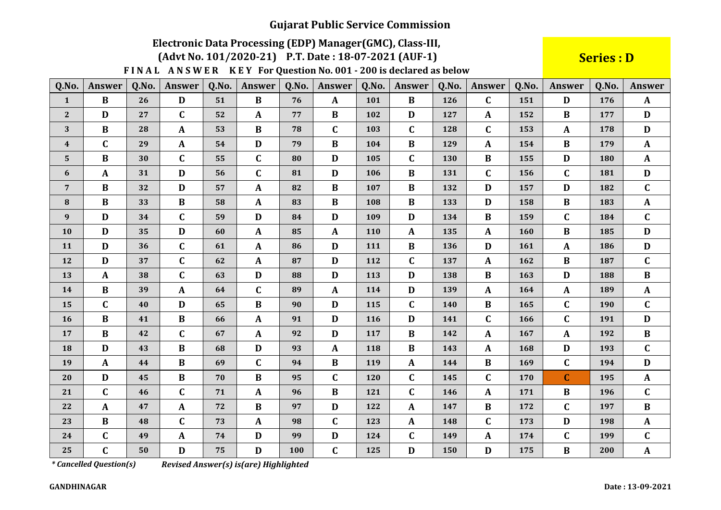# Electronic Data Processing (EDP) Manager (GMC), Class-III,

(Advt No. 101/2020-21) P.T. Date: 18-07-2021 (AUF-1)

FINAL ANSWER KEY For Question No. 001 - 200 is declared as below

**Series: D** 

| Q.No.            | <b>Answer</b> | Q.No. | <b>Answer</b> | Q.No. | Answer       | Q.No. | Answer       | Q.No. | <b>Answer</b> | Q.No. | Answer       | Q.No. | Answer       | Q.No. | Answer       |
|------------------|---------------|-------|---------------|-------|--------------|-------|--------------|-------|---------------|-------|--------------|-------|--------------|-------|--------------|
| $\mathbf{1}$     | $\bf{B}$      | 26    | $\mathbf{D}$  | 51    | $\bf{B}$     | 76    | $\mathbf{A}$ | 101   | $\bf{B}$      | 126   | $\mathbf{C}$ | 151   | D            | 176   | $\mathbf{A}$ |
| $\boldsymbol{2}$ | $\mathbf D$   | 27    | $\mathbf C$   | 52    | A            | 77    | B            | 102   | $\mathbf D$   | 127   | $\mathbf{A}$ | 152   | B            | 177   | D            |
| 3                | $\bf{B}$      | 28    | $\mathbf{A}$  | 53    | $\bf{B}$     | 78    | $\mathbf C$  | 103   | $\mathbf C$   | 128   | $\mathbf C$  | 153   | A            | 178   | D            |
| $\boldsymbol{4}$ | $\mathbf C$   | 29    | $\mathbf{A}$  | 54    | D            | 79    | $\bf{B}$     | 104   | $\bf{B}$      | 129   | $\mathbf A$  | 154   | B            | 179   | $\mathbf{A}$ |
| 5                | $\bf{B}$      | 30    | $\mathbf C$   | 55    | $\mathbf{C}$ | 80    | D            | 105   | $\mathbf C$   | 130   | $\bf{B}$     | 155   | D            | 180   | $\mathbf{A}$ |
| 6                | $\mathbf{A}$  | 31    | $\mathbf D$   | 56    | $\mathbf C$  | 81    | D            | 106   | $\bf{B}$      | 131   | $\mathbf{C}$ | 156   | $\mathbf C$  | 181   | $\mathbf{D}$ |
| $\overline{7}$   | $\bf{B}$      | 32    | D             | 57    | A            | 82    | $\bf{B}$     | 107   | $\bf{B}$      | 132   | D            | 157   | D            | 182   | $\mathbf C$  |
| 8                | $\bf{B}$      | 33    | $\bf{B}$      | 58    | A            | 83    | $\bf{B}$     | 108   | $\bf{B}$      | 133   | D            | 158   | B            | 183   | $\mathbf{A}$ |
| 9                | D             | 34    | $\mathbf C$   | 59    | D            | 84    | D            | 109   | $\mathbf{D}$  | 134   | $\bf{B}$     | 159   | $\mathbf C$  | 184   | $\mathbf{C}$ |
| 10               | D             | 35    | $\mathbf{D}$  | 60    | $\mathbf{A}$ | 85    | $\mathbf{A}$ | 110   | $\mathbf{A}$  | 135   | $\mathbf{A}$ | 160   | B            | 185   | D            |
| 11               | D             | 36    | $\mathbf C$   | 61    | A            | 86    | D            | 111   | $\bf{B}$      | 136   | D            | 161   | $\mathbf{A}$ | 186   | D            |
| 12               | D             | 37    | $\mathbf C$   | 62    | $\mathbf{A}$ | 87    | D            | 112   | $\mathbf C$   | 137   | $\mathbf{A}$ | 162   | B            | 187   | $\mathbf C$  |
| 13               | $\mathbf{A}$  | 38    | $\mathbf C$   | 63    | $\mathbf{D}$ | 88    | $\mathbf D$  | 113   | D             | 138   | $\bf{B}$     | 163   | $\mathbf D$  | 188   | $\bf{B}$     |
| 14               | $\bf{B}$      | 39    | $\mathbf{A}$  | 64    | $\mathbf C$  | 89    | $\mathbf{A}$ | 114   | D             | 139   | $\mathbf{A}$ | 164   | $\mathbf{A}$ | 189   | $\mathbf{A}$ |
| 15               | $\mathbf C$   | 40    | $\mathbf{D}$  | 65    | $\bf{B}$     | 90    | D            | 115   | $\mathbf C$   | 140   | $\bf{B}$     | 165   | $\mathbf C$  | 190   | $\mathbf{C}$ |
| 16               | $\bf{B}$      | 41    | $\bf{B}$      | 66    | $\mathbf{A}$ | 91    | D            | 116   | D             | 141   | $\mathbf{C}$ | 166   | $\mathbf C$  | 191   | D            |
| 17               | $\bf{B}$      | 42    | $\mathbf C$   | 67    | A            | 92    | D            | 117   | $\bf{B}$      | 142   | $\mathbf{A}$ | 167   | $\mathbf{A}$ | 192   | $\bf{B}$     |
| 18               | D             | 43    | $\bf{B}$      | 68    | D            | 93    | $\mathbf A$  | 118   | $\bf{B}$      | 143   | $\mathbf{A}$ | 168   | $\mathbf D$  | 193   | $\mathbf C$  |
| 19               | $\mathbf{A}$  | 44    | $\bf{B}$      | 69    | $\mathbf C$  | 94    | $\bf{B}$     | 119   | $\mathbf{A}$  | 144   | $\bf{B}$     | 169   | $\mathbf C$  | 194   | D            |
| 20               | D             | 45    | $\bf{B}$      | 70    | $\bf{B}$     | 95    | $\mathbf C$  | 120   | $\mathbf C$   | 145   | $\mathbf C$  | 170   | $\mathbf C$  | 195   | $\mathbf{A}$ |
| 21               | $\mathbf C$   | 46    | $\mathbf C$   | 71    | A            | 96    | $\bf{B}$     | 121   | $\mathbf C$   | 146   | $\mathbf{A}$ | 171   | $\bf{B}$     | 196   | $\mathbf C$  |
| 22               | $\mathbf{A}$  | 47    | $\mathbf{A}$  | 72    | B            | 97    | D            | 122   | $\mathbf{A}$  | 147   | $\bf{B}$     | 172   | $\mathbf C$  | 197   | $\bf{B}$     |
| 23               | $\bf{B}$      | 48    | $\mathbf C$   | 73    | $\mathbf{A}$ | 98    | C            | 123   | $\mathbf{A}$  | 148   | $\mathbf{C}$ | 173   | D            | 198   | $\mathbf{A}$ |
| 24               | $\mathbf{C}$  | 49    | $\mathbf{A}$  | 74    | D            | 99    | D            | 124   | $\mathbf C$   | 149   | $\mathbf{A}$ | 174   | $\mathbf C$  | 199   | $\mathbf C$  |
| 25               | $\mathbf C$   | 50    | $\mathbf{D}$  | 75    | D            | 100   | $\mathbf C$  | 125   | $\mathbf{D}$  | 150   | $\mathbf D$  | 175   | B            | 200   | ${\bf A}$    |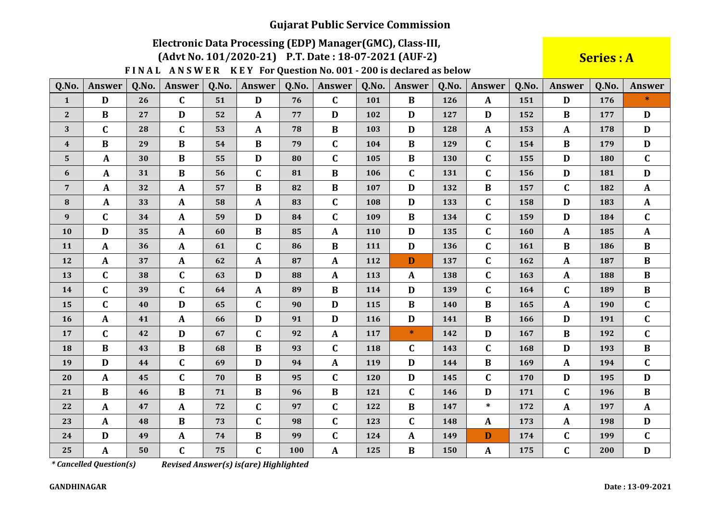### Electronic Data Processing (EDP) Manager (GMC), Class-III,

(Advt No. 101/2020-21) P.T. Date: 18-07-2021 (AUF-2)

FINAL ANSWER KEY For Question No. 001 - 200 is declared as below

**Series: A** 

| Q.No.            | <b>Answer</b> | Q.No. | <b>Answer</b> | Q.No. | <b>Answer</b> | Q.No. | <b>Answer</b> | Q.No. | <b>Answer</b> | Q.No.      | <b>Answer</b> | Q.No. | <b>Answer</b> | Q.No. | Answer       |
|------------------|---------------|-------|---------------|-------|---------------|-------|---------------|-------|---------------|------------|---------------|-------|---------------|-------|--------------|
| $\mathbf{1}$     | D             | 26    | $\mathbf C$   | 51    | D             | 76    | $\mathbf C$   | 101   | $\bf{B}$      | 126        | $\mathbf{A}$  | 151   | D             | 176   | $\ast$       |
| $\mathbf{2}$     | $\bf{B}$      | 27    | D             | 52    | A             | 77    | D             | 102   | D             | 127        | D             | 152   | B             | 177   | D            |
| 3                | $\mathbf C$   | 28    | $\mathbf C$   | 53    | A             | 78    | B             | 103   | D             | 128        | $\mathbf{A}$  | 153   | $\mathbf{A}$  | 178   | D            |
| $\boldsymbol{4}$ | $\bf{B}$      | 29    | $\bf{B}$      | 54    | $\bf{B}$      | 79    | $\mathbf C$   | 104   | $\bf{B}$      | 129        | $\mathbf{C}$  | 154   | $\bf{B}$      | 179   | D            |
| ${\bf 5}$        | $\mathbf{A}$  | 30    | $\bf{B}$      | 55    | D             | 80    | $\mathbf C$   | 105   | $\bf{B}$      | 130        | $\mathbf C$   | 155   | D             | 180   | $\mathbf{C}$ |
| $\boldsymbol{6}$ | $\mathbf{A}$  | 31    | $\bf{B}$      | 56    | $\mathbf C$   | 81    | $\bf{B}$      | 106   | $\mathbf C$   | 131        | $\mathbf C$   | 156   | D             | 181   | D            |
| $\overline{7}$   | $\mathbf{A}$  | 32    | $\mathbf{A}$  | 57    | $\bf{B}$      | 82    | $\bf{B}$      | 107   | D             | 132        | $\bf{B}$      | 157   | $\mathbf{C}$  | 182   | $\mathbf{A}$ |
| 8                | $\mathbf{A}$  | 33    | $\mathbf{A}$  | 58    | A             | 83    | C             | 108   | D             | 133        | $\mathbf C$   | 158   | D             | 183   | $\mathbf{A}$ |
| $\boldsymbol{9}$ | $\mathbf C$   | 34    | $\mathbf{A}$  | 59    | D             | 84    | $\mathbf C$   | 109   | B             | 134        | $\mathbf C$   | 159   | D             | 184   | $\mathbf{C}$ |
| 10               | D             | 35    | $\mathbf{A}$  | 60    | B             | 85    | $\mathbf{A}$  | 110   | D             | 135        | $\mathbf C$   | 160   | $\mathbf{A}$  | 185   | $\mathbf{A}$ |
| 11               | $\mathbf{A}$  | 36    | $\mathbf{A}$  | 61    | $\mathbf C$   | 86    | $\bf{B}$      | 111   | D             | 136        | $\mathbf C$   | 161   | B             | 186   | $\bf{B}$     |
| 12               | $\mathbf{A}$  | 37    | $\mathbf{A}$  | 62    | A             | 87    | $\mathbf{A}$  | 112   | D             | 137        | $\mathbf{C}$  | 162   | A             | 187   | $\bf{B}$     |
| 13               | $\mathbf C$   | 38    | $\mathbf C$   | 63    | D             | 88    | $\mathbf{A}$  | 113   | $\mathbf{A}$  | 138        | $\mathbf{C}$  | 163   | $\mathbf{A}$  | 188   | $\bf{B}$     |
| 14               | $\mathbf C$   | 39    | $\mathbf C$   | 64    | A             | 89    | $\bf{B}$      | 114   | D             | 139        | $\mathbf{C}$  | 164   | $\mathbf{C}$  | 189   | $\bf{B}$     |
| 15               | $\mathbf C$   | 40    | $\mathbf{D}$  | 65    | $\mathbf C$   | 90    | D             | 115   | $\bf{B}$      | <b>140</b> | $\bf{B}$      | 165   | $\mathbf{A}$  | 190   | $\mathbf{C}$ |
| 16               | $\mathbf{A}$  | 41    | $\mathbf{A}$  | 66    | D             | 91    | D             | 116   | $\mathbf D$   | 141        | $\bf{B}$      | 166   | D             | 191   | $\mathbf C$  |
| 17               | C             | 42    | D             | 67    | $\mathbf C$   | 92    | $\mathbf{A}$  | 117   | $\ast$        | 142        | D             | 167   | B             | 192   | $\mathbf{C}$ |
| 18               | $\bf{B}$      | 43    | $\bf{B}$      | 68    | $\bf{B}$      | 93    | $\mathbf C$   | 118   | $\mathbf C$   | 143        | $\mathbf C$   | 168   | D             | 193   | $\bf{B}$     |
| 19               | D             | 44    | $\mathbf C$   | 69    | D             | 94    | $\mathbf{A}$  | 119   | D             | 144        | B             | 169   | $\mathbf{A}$  | 194   | $\mathbf C$  |
| 20               | $\mathbf{A}$  | 45    | $\mathbf C$   | 70    | $\bf{B}$      | 95    | $\mathbf C$   | 120   | D             | 145        | $\mathbf C$   | 170   | D             | 195   | $\mathbf D$  |
| 21               | $\bf{B}$      | 46    | $\bf{B}$      | 71    | B             | 96    | $\bf{B}$      | 121   | $\mathbf C$   | 146        | D             | 171   | $\mathbf{C}$  | 196   | $\bf{B}$     |
| 22               | $\mathbf{A}$  | 47    | $\mathbf{A}$  | 72    | $\mathbf C$   | 97    | $\mathbf C$   | 122   | $\bf{B}$      | 147        | $\ast$        | 172   | A             | 197   | $\mathbf{A}$ |
| 23               | $\mathbf{A}$  | 48    | B             | 73    | $\mathbf C$   | 98    | C             | 123   | $\mathbf C$   | 148        | A             | 173   | $\mathbf{A}$  | 198   | D            |
| 24               | D             | 49    | $\mathbf{A}$  | 74    | $\bf{B}$      | 99    | $\mathbf C$   | 124   | A             | 149        | D             | 174   | $\mathbf C$   | 199   | $\mathbf C$  |
| 25               | A             | 50    | $\mathbf C$   | 75    | $\mathbf C$   | 100   | $\mathbf A$   | 125   | $\bf{B}$      | 150        | $\mathbf{A}$  | 175   | $\mathbf C$   | 200   | $\mathbf D$  |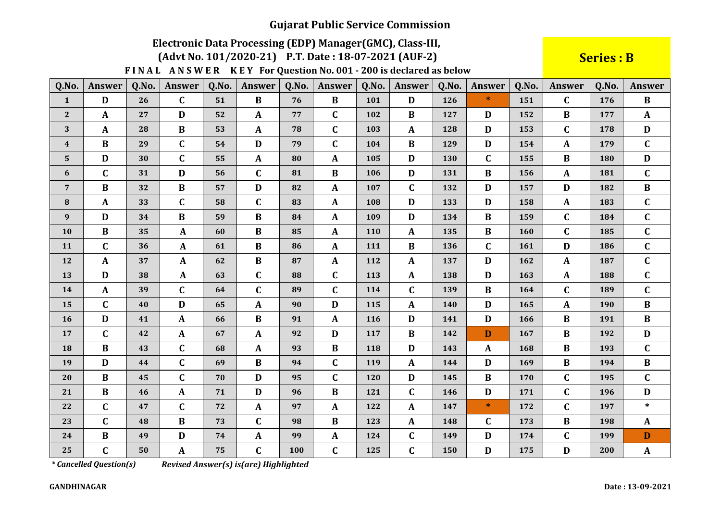## Electronic Data Processing (EDP) Manager (GMC), Class-III,

(Advt No. 101/2020-21) P.T. Date: 18-07-2021 (AUF-2)

FINAL ANSWER KEY For Question No. 001 - 200 is declared as below

**Series: B** 

| Q.No.            | Answer       | Q.No. | Answer       | Q.No. | <b>Answer</b> | Q.No. | Answer       | Q.No. | <b>Answer</b> | Q.No. | <b>Answer</b> | Q.No. | <b>Answer</b> | Q.No. | <b>Answer</b> |
|------------------|--------------|-------|--------------|-------|---------------|-------|--------------|-------|---------------|-------|---------------|-------|---------------|-------|---------------|
| $\mathbf{1}$     | D            | 26    | $\mathbf{C}$ | 51    | $\bf{B}$      | 76    | $\bf{B}$     | 101   | D             | 126   | $\ast$        | 151   | $\mathbf{C}$  | 176   | $\bf{B}$      |
| $\mathbf{2}$     | $\mathbf{A}$ | 27    | D            | 52    | A             | 77    | C            | 102   | B             | 127   | D             | 152   | B             | 177   | $\mathbf{A}$  |
| 3                | $\mathbf{A}$ | 28    | $\bf{B}$     | 53    | A             | 78    | C            | 103   | $\mathbf{A}$  | 128   | D             | 153   | $\mathbf C$   | 178   | D             |
| $\boldsymbol{4}$ | $\bf{B}$     | 29    | $\mathbf C$  | 54    | D             | 79    | C            | 104   | B             | 129   | D             | 154   | $\mathbf{A}$  | 179   | $\mathbf{C}$  |
| $\mathbf 5$      | D            | 30    | $\mathbf C$  | 55    | $\mathbf{A}$  | 80    | $\mathbf{A}$ | 105   | D             | 130   | $\mathbf C$   | 155   | $\bf{B}$      | 180   | D             |
| 6                | $\mathbf C$  | 31    | $\mathbf{D}$ | 56    | $\mathbf C$   | 81    | $\bf{B}$     | 106   | D             | 131   | $\bf{B}$      | 156   | $\mathbf{A}$  | 181   | $\mathbf C$   |
| $\overline{7}$   | $\bf{B}$     | 32    | $\bf{B}$     | 57    | D             | 82    | $\mathbf{A}$ | 107   | $\mathbf C$   | 132   | D             | 157   | D             | 182   | $\bf{B}$      |
| 8                | $\mathbf{A}$ | 33    | $\mathbf{C}$ | 58    | $\mathbf C$   | 83    | $\mathbf{A}$ | 108   | D             | 133   | D             | 158   | $\mathbf{A}$  | 183   | $\mathbf{C}$  |
| 9                | D            | 34    | $\bf{B}$     | 59    | $\bf{B}$      | 84    | $\mathbf{A}$ | 109   | D             | 134   | B             | 159   | $\mathbf C$   | 184   | $\mathbf C$   |
| 10               | $\bf{B}$     | 35    | A            | 60    | $\bf{B}$      | 85    | $\mathbf{A}$ | 110   | $\mathbf{A}$  | 135   | B             | 160   | C             | 185   | $\mathbf C$   |
| 11               | $\mathbf C$  | 36    | A            | 61    | $\bf{B}$      | 86    | A            | 111   | $\bf{B}$      | 136   | $\mathbf C$   | 161   | $\mathbf{D}$  | 186   | $\mathbf C$   |
| 12               | $\mathbf{A}$ | 37    | $\mathbf{A}$ | 62    | $\bf{B}$      | 87    | $\mathbf{A}$ | 112   | $\mathbf{A}$  | 137   | D             | 162   | $\mathbf{A}$  | 187   | $\mathbf C$   |
| 13               | $\mathbf{D}$ | 38    | $\mathbf{A}$ | 63    | $\mathbf C$   | 88    | $\mathbf C$  | 113   | $\mathbf{A}$  | 138   | D             | 163   | $\mathbf{A}$  | 188   | $\mathbf C$   |
| 14               | $\mathbf{A}$ | 39    | $\mathbf{C}$ | 64    | $\mathbf C$   | 89    | $\mathbf C$  | 114   | $\mathbf C$   | 139   | B             | 164   | $\mathbf{C}$  | 189   | $\mathbf C$   |
| 15               | $\mathbf C$  | 40    | D            | 65    | A             | 90    | D            | 115   | A             | 140   | D             | 165   | $\mathbf{A}$  | 190   | $\bf{B}$      |
| 16               | D            | 41    | $\mathbf{A}$ | 66    | $\bf{B}$      | 91    | $\mathbf{A}$ | 116   | $\mathbf D$   | 141   | D             | 166   | $\bf{B}$      | 191   | $\bf{B}$      |
| 17               | $\mathbf C$  | 42    | $\mathbf{A}$ | 67    | $\mathbf{A}$  | 92    | D            | 117   | B             | 142   | D             | 167   | B             | 192   | D             |
| 18               | $\bf{B}$     | 43    | $\mathbf C$  | 68    | A             | 93    | $\bf{B}$     | 118   | D             | 143   | $\mathbf{A}$  | 168   | $\bf{B}$      | 193   | $\mathbf C$   |
| 19               | D            | 44    | $\mathbf C$  | 69    | $\bf{B}$      | 94    | $\mathbf C$  | 119   | $\mathbf{A}$  | 144   | D             | 169   | B             | 194   | $\bf{B}$      |
| 20               | $\bf{B}$     | 45    | $\mathbf C$  | 70    | D             | 95    | $\mathbf C$  | 120   | D             | 145   | $\bf{B}$      | 170   | $\mathbf{C}$  | 195   | $\mathbf C$   |
| 21               | $\bf{B}$     | 46    | $\mathbf{A}$ | 71    | D             | 96    | $\bf{B}$     | 121   | $\mathbf C$   | 146   | D             | 171   | $\mathbf{C}$  | 196   | D             |
| 22               | $\mathbf C$  | 47    | $\mathbf C$  | 72    | $\mathbf{A}$  | 97    | $\mathbf{A}$ | 122   | $\mathbf{A}$  | 147   | $\ast$        | 172   | $\mathbf{C}$  | 197   | $\ast$        |
| 23               | $\mathbf C$  | 48    | $\bf{B}$     | 73    | $\mathbf C$   | 98    | $\bf{B}$     | 123   | $\mathbf{A}$  | 148   | $\mathbf C$   | 173   | B             | 198   | $\mathbf{A}$  |
| 24               | $\bf{B}$     | 49    | D            | 74    | A             | 99    | $\mathbf{A}$ | 124   | $\mathbf C$   | 149   | D             | 174   | $\mathbf C$   | 199   | D             |
| 25               | $\mathbf C$  | 50    | $\mathbf{A}$ | 75    | $\mathbf C$   | 100   | $\mathbf C$  | 125   | $\mathbf C$   | 150   | D             | 175   | $\mathbf D$   | 200   | ${\bf A}$     |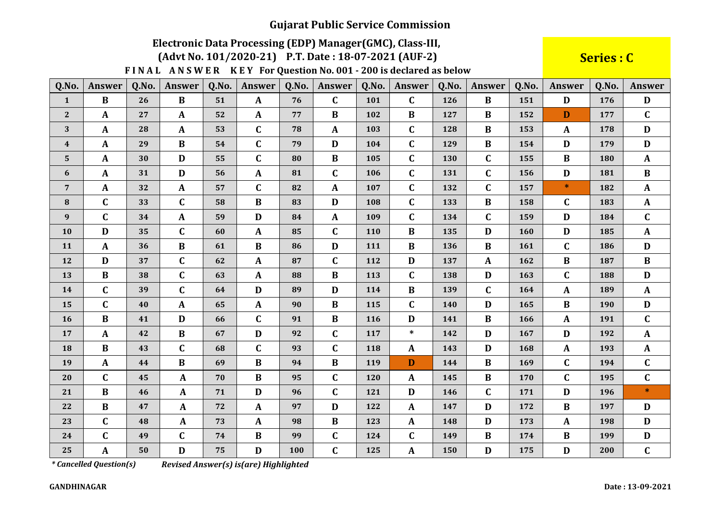# Electronic Data Processing (EDP) Manager (GMC), Class-III,

(Advt No. 101/2020-21) P.T. Date: 18-07-2021 (AUF-2)

FINAL ANSWER KEY For Question No. 001 - 200 is declared as below

**Series: C** 

| Q.No.            | <b>Answer</b> | Q.No. | <b>Answer</b> | Q.No. | <b>Answer</b> | Q.No. | <b>Answer</b> | Q.No.      | <b>Answer</b> | Q.No.      | Answer       | Q.No. | <b>Answer</b> | Q.No. | Answer       |
|------------------|---------------|-------|---------------|-------|---------------|-------|---------------|------------|---------------|------------|--------------|-------|---------------|-------|--------------|
| $\mathbf{1}$     | $\bf{B}$      | 26    | $\bf{B}$      | 51    | $\mathbf{A}$  | 76    | $\mathbf C$   | 101        | $\mathbf{C}$  | 126        | $\bf{B}$     | 151   | D             | 176   | D            |
| $\sqrt{2}$       | $\mathbf{A}$  | 27    | $\mathbf{A}$  | 52    | A             | 77    | $\bf{B}$      | 102        | $\bf{B}$      | 127        | B            | 152   | D             | 177   | $\mathbf C$  |
| $\mathbf{3}$     | $\mathbf{A}$  | 28    | $\mathbf{A}$  | 53    | $\mathbf C$   | 78    | $\mathbf{A}$  | 103        | $\mathbf C$   | 128        | B            | 153   | $\mathbf{A}$  | 178   | D            |
| $\boldsymbol{4}$ | $\mathbf{A}$  | 29    | $\bf{B}$      | 54    | $\mathbf C$   | 79    | $\mathbf D$   | 104        | $\mathbf C$   | 129        | B            | 154   | $\mathbf D$   | 179   | D            |
| $5\phantom{.}$   | $\mathbf{A}$  | 30    | D             | 55    | $\mathbf C$   | 80    | $\bf{B}$      | 105        | $\mathbf C$   | 130        | $\mathbf C$  | 155   | $\bf{B}$      | 180   | $\mathbf{A}$ |
| 6                | $\mathbf{A}$  | 31    | D             | 56    | $\mathbf{A}$  | 81    | $\mathbf C$   | 106        | $\mathbf C$   | 131        | $\mathbf C$  | 156   | $\mathbf{D}$  | 181   | $\bf{B}$     |
| $\overline{7}$   | $\mathbf{A}$  | 32    | $\mathbf{A}$  | 57    | $\mathbf C$   | 82    | $\mathbf{A}$  | 107        | $\mathbf C$   | 132        | $\mathbf C$  | 157   | $\ast$        | 182   | $\mathbf{A}$ |
| 8                | $\mathbf C$   | 33    | $\mathbf C$   | 58    | $\bf{B}$      | 83    | D             | 108        | $\mathbf C$   | 133        | $\bf{B}$     | 158   | $\mathbf C$   | 183   | $\mathbf{A}$ |
| 9                | $\mathbf C$   | 34    | $\mathbf{A}$  | 59    | D             | 84    | $\mathbf{A}$  | 109        | $\mathbf C$   | 134        | $\mathbf{C}$ | 159   | D             | 184   | $\mathbf{C}$ |
| 10               | D             | 35    | $\mathbf C$   | 60    | $\mathbf{A}$  | 85    | $\mathbf C$   | <b>110</b> | $\bf{B}$      | 135        | D            | 160   | D             | 185   | $\mathbf{A}$ |
| 11               | $\mathbf{A}$  | 36    | $\bf{B}$      | 61    | $\bf{B}$      | 86    | $\mathbf D$   | 111        | $\bf{B}$      | 136        | $\bf{B}$     | 161   | $\mathbf C$   | 186   | D            |
| 12               | D             | 37    | $\mathbf C$   | 62    | $\mathbf{A}$  | 87    | $\mathbf C$   | 112        | D             | 137        | $\mathbf{A}$ | 162   | $\bf{B}$      | 187   | $\bf{B}$     |
| 13               | $\bf{B}$      | 38    | $\mathbf C$   | 63    | A             | 88    | $\bf{B}$      | 113        | $\mathbf C$   | 138        | D            | 163   | $\mathbf C$   | 188   | $\mathbf{D}$ |
| 14               | $\mathbf C$   | 39    | $\mathbf C$   | 64    | D             | 89    | D             | 114        | $\bf{B}$      | 139        | $\mathbf C$  | 164   | $\mathbf{A}$  | 189   | $\mathbf{A}$ |
| 15               | $\mathbf C$   | 40    | $\mathbf{A}$  | 65    | A             | 90    | $\bf{B}$      | 115        | $\mathbf C$   | <b>140</b> | D            | 165   | $\bf{B}$      | 190   | D            |
| 16               | $\bf{B}$      | 41    | D             | 66    | $\mathbf C$   | 91    | $\bf{B}$      | 116        | D             | 141        | $\bf{B}$     | 166   | $\mathbf{A}$  | 191   | $\mathbf{C}$ |
| 17               | $\mathbf{A}$  | 42    | $\bf{B}$      | 67    | D             | 92    | $\mathbf C$   | 117        | $\ast$        | 142        | D            | 167   | D             | 192   | $\mathbf{A}$ |
| 18               | $\bf{B}$      | 43    | $\mathbf C$   | 68    | $\mathbf C$   | 93    | $\mathbf C$   | 118        | $\mathbf{A}$  | 143        | D            | 168   | $\mathbf{A}$  | 193   | $\mathbf{A}$ |
| 19               | $\mathbf{A}$  | 44    | $\bf{B}$      | 69    | $\bf{B}$      | 94    | $\bf{B}$      | 119        | D             | 144        | $\bf{B}$     | 169   | $\mathbf C$   | 194   | $\mathbf C$  |
| 20               | $\mathbf C$   | 45    | $\mathbf A$   | 70    | $\bf{B}$      | 95    | $\mathbf C$   | 120        | $\mathbf{A}$  | 145        | $\bf{B}$     | 170   | $\mathbf C$   | 195   | $\mathbf C$  |
| 21               | $\bf{B}$      | 46    | $\mathbf{A}$  | 71    | D             | 96    | $\mathbf C$   | 121        | D             | 146        | $\mathbf C$  | 171   | D             | 196   | $\ast$       |
| 22               | $\bf{B}$      | 47    | $\mathbf{A}$  | 72    | $\mathbf{A}$  | 97    | D             | 122        | $\mathbf{A}$  | 147        | D            | 172   | $\bf{B}$      | 197   | D            |
| 23               | $\mathbf C$   | 48    | $\mathbf A$   | 73    | A             | 98    | $\bf{B}$      | 123        | $\mathbf{A}$  | 148        | D            | 173   | $\mathbf{A}$  | 198   | D            |
| 24               | $\mathbf C$   | 49    | $\mathbf C$   | 74    | $\bf{B}$      | 99    | $\mathbf C$   | 124        | $\mathbf C$   | 149        | $\bf{B}$     | 174   | $\bf{B}$      | 199   | D            |
| 25               | A             | 50    | $\mathbf{D}$  | 75    | D             | 100   | $\mathbf C$   | 125        | A             | 150        | D            | 175   | $\mathbf D$   | 200   | $\mathbf{C}$ |